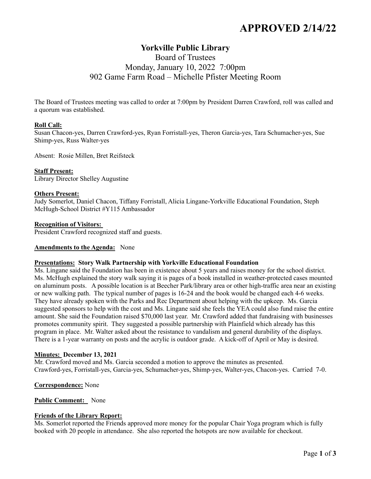# **APPROVED 2/14/22**

# **Yorkville Public Library**

# Board of Trustees Monday, January 10, 2022 7:00pm 902 Game Farm Road – Michelle Pfister Meeting Room

The Board of Trustees meeting was called to order at 7:00pm by President Darren Crawford, roll was called and a quorum was established.

# **Roll Call:**

Susan Chacon-yes, Darren Crawford-yes, Ryan Forristall-yes, Theron Garcia-yes, Tara Schumacher-yes, Sue Shimp-yes, Russ Walter-yes

Absent: Rosie Millen, Bret Reifsteck

# **Staff Present:**

Library Director Shelley Augustine

# **Others Present:**

Judy Somerlot, Daniel Chacon, Tiffany Forristall, Alicia Lingane-Yorkville Educational Foundation, Steph McHugh-School District #Y115 Ambassador

#### **Recognition of Visitors:**

President Crawford recognized staff and guests.

# **Amendments to the Agenda:** None

# **Presentations: Story Walk Partnership with Yorkville Educational Foundation**

Ms. Lingane said the Foundation has been in existence about 5 years and raises money for the school district. Ms. McHugh explained the story walk saying it is pages of a book installed in weather-protected cases mounted on aluminum posts. A possible location is at Beecher Park/library area or other high-traffic area near an existing or new walking path. The typical number of pages is 16-24 and the book would be changed each 4-6 weeks. They have already spoken with the Parks and Rec Department about helping with the upkeep. Ms. Garcia suggested sponsors to help with the cost and Ms. Lingane said she feels the YEA could also fund raise the entire amount. She said the Foundation raised \$70,000 last year. Mr. Crawford added that fundraising with businesses promotes community spirit. They suggested a possible partnership with Plainfield which already has this program in place. Mr. Walter asked about the resistance to vandalism and general durability of the displays. There is a 1-year warranty on posts and the acrylic is outdoor grade. A kick-off of April or May is desired.

# **Minutes: December 13, 2021**

Mr. Crawford moved and Ms. Garcia seconded a motion to approve the minutes as presented. Crawford-yes, Forristall-yes, Garcia-yes, Schumacher-yes, Shimp-yes, Walter-yes, Chacon-yes. Carried 7-0.

# **Correspondence:** None

# **Public Comment:** None

# **Friends of the Library Report:**

Ms. Somerlot reported the Friends approved more money for the popular Chair Yoga program which is fully booked with 20 people in attendance. She also reported the hotspots are now available for checkout.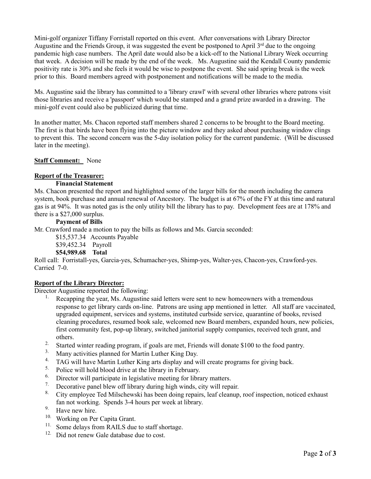Mini-golf organizer Tiffany Forristall reported on this event. After conversations with Library Director Augustine and the Friends Group, it was suggested the event be postponed to April 3<sup>rd</sup> due to the ongoing pandemic high case numbers. The April date would also be a kick-off to the National Library Week occurring that week. A decision will be made by the end of the week. Ms. Augustine said the Kendall County pandemic positivity rate is 30% and she feels it would be wise to postpone the event. She said spring break is the week prior to this. Board members agreed with postponement and notifications will be made to the media.

Ms. Augustine said the library has committed to a 'library crawl' with several other libraries where patrons visit those libraries and receive a 'passport' which would be stamped and a grand prize awarded in a drawing. The mini-golf event could also be publicized during that time.

In another matter, Ms. Chacon reported staff members shared 2 concerns to be brought to the Board meeting. The first is that birds have been flying into the picture window and they asked about purchasing window clings to prevent this. The second concern was the 5-day isolation policy for the current pandemic. (Will be discussed later in the meeting).

**Staff Comment:** None

# **Report of the Treasurer:**

# **Financial Statement**

Ms. Chacon presented the report and highlighted some of the larger bills for the month including the camera system, book purchase and annual renewal of Ancestory. The budget is at 67% of the FY at this time and natural gas is at 94%. It was noted gas is the only utility bill the library has to pay. Development fees are at 178% and there is a \$27,000 surplus.

# **Payment of Bills**

Mr. Crawford made a motion to pay the bills as follows and Ms. Garcia seconded:

\$15,537.34 Accounts Payable

\$39,452.34 Payroll

**\$54,989.68 Total**

Roll call: Forristall-yes, Garcia-yes, Schumacher-yes, Shimp-yes, Walter-yes, Chacon-yes, Crawford-yes. Carried 7-0.

# **Report of the Library Director:**

Director Augustine reported the following:

- Recapping the year, Ms. Augustine said letters were sent to new homeowners with a tremendous response to get library cards on-line. Patrons are using app mentioned in letter. All staff are vaccinated, upgraded equipment, services and systems, instituted curbside service, quarantine of books, revised cleaning procedures, resumed book sale, welcomed new Board members, expanded hours, new policies, first community fest, pop-up library, switched janitorial supply companies, received tech grant, and others.
- <sup>2.</sup> Started winter reading program, if goals are met, Friends will donate \$100 to the food pantry.
- <sup>3.</sup> Many activities planned for Martin Luther King Day.<br><sup>4.</sup> TAG will have Martin Luther King arts display and w
- <sup>4.</sup> TAG will have Martin Luther King arts display and will create programs for giving back.<br><sup>5.</sup> Police will hold blood drive at the library in February.
- <sup>5.</sup> Police will hold blood drive at the library in February.<br> $\frac{6}{10}$ . Director will participate in legislative meeting for library.
- <sup>6.</sup> Director will participate in legislative meeting for library matters.<br><sup>7.</sup> Decorative panel blew off library during high winds, city will repair
- <sup>7.</sup> Decorative panel blew off library during high winds, city will repair.<br><sup>8.</sup> City employee Ted Milschewski has been doing repairs, leaf cleanup.
- 8. City employee Ted Milschewski has been doing repairs, leaf cleanup, roof inspection, noticed exhaust fan not working. Spends 3-4 hours per week at library.
- 9. Have new hire.
- 10. Working on Per Capita Grant.
- <sup>11.</sup> Some delays from RAILS due to staff shortage.
- <sup>12.</sup> Did not renew Gale database due to cost.